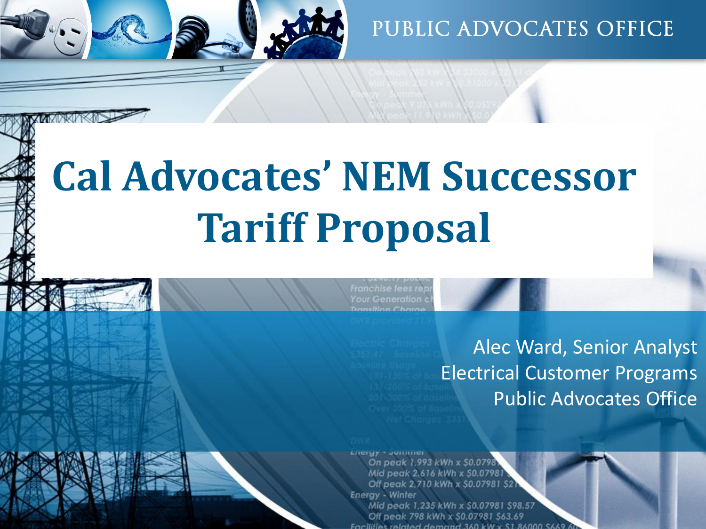

# **Cal Advocates' NEM Successor Tariff Proposal**

Franchise fees re **Your Generation** 

Alec Ward, Senior Analyst Electrical Customer Programs Public Advocates Office

On peak 1,993 kWh x \$0.0798 Mid peak 2,616 kWh x \$0.07981 Off peak 2,710 kWh x \$0.07981 \$2 **Energy - Winter** Mid peak 1,235 kWh x \$0.07981 \$98.57 Off peak 798 kWh x \$0.07981 \$63.69 Facilities related demand 360 kW x S1 86000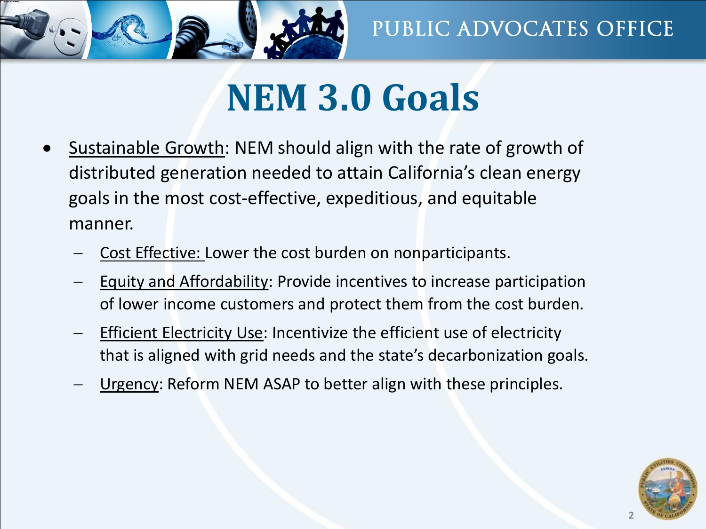

## **NEM 3.0 Goals**

- Sustainable Growth: NEM should align with the rate of growth of distributed generation needed to attain California's clean energy goals in the most cost-effective, expeditious, and equitable manner.
	- − Cost Effective: Lower the cost burden on nonparticipants.
	- Equity and Affordability: Provide incentives to increase participation of lower income customers and protect them from the cost burden.
	- Efficient Electricity Use: Incentivize the efficient use of electricity that is aligned with grid needs and the state's decarbonization goals.
	- Urgency: Reform NEM ASAP to better align with these principles.

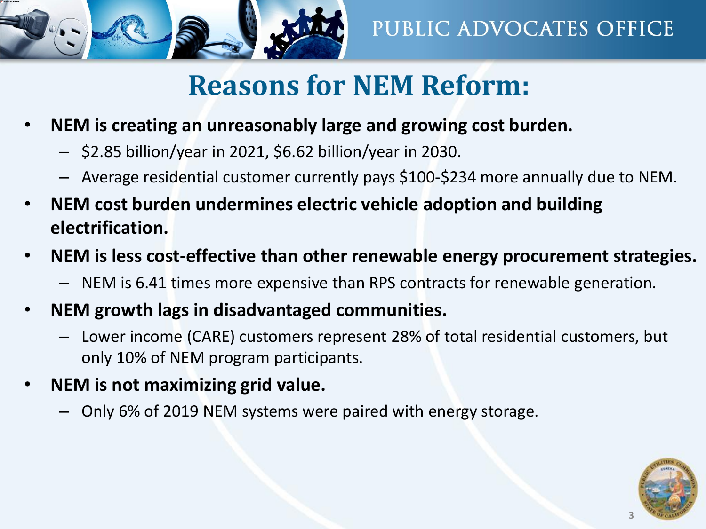

#### **Reasons for NEM Reform:**

- **NEM is creating an unreasonably large and growing cost burden.**
	- \$2.85 billion/year in 2021, \$6.62 billion/year in 2030.
	- Average residential customer currently pays \$100-\$234 more annually due to NEM.
- **NEM cost burden undermines electric vehicle adoption and building electrification.**
- **NEM is less cost-effective than other renewable energy procurement strategies.**
	- NEM is 6.41 times more expensive than RPS contracts for renewable generation.
- **NEM growth lags in disadvantaged communities.**
	- Lower income (CARE) customers represent 28% of total residential customers, but only 10% of NEM program participants.
- **NEM is not maximizing grid value.**
	- Only 6% of 2019 NEM systems were paired with energy storage.

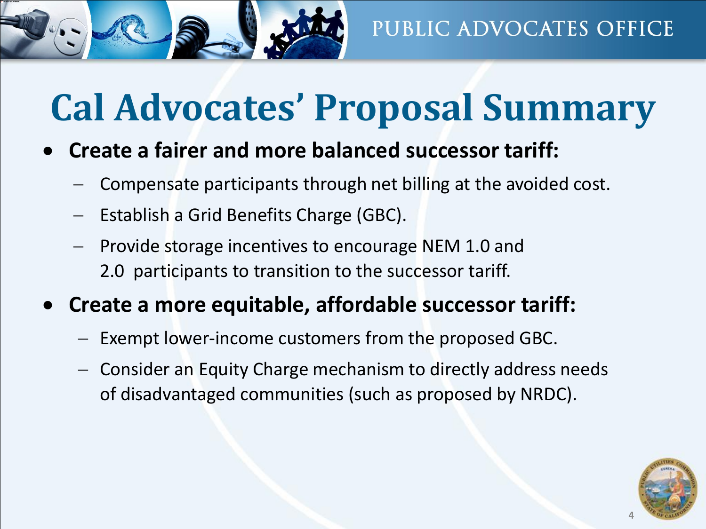

## **Cal Advocates' Proposal Summary**

- **Create a fairer and more balanced successor tariff:**
	- − Compensate participants through net billing at the avoided cost.
	- − Establish a Grid Benefits Charge (GBC).
	- Provide storage incentives to encourage NEM 1.0 and 2.0 participants to transition to the successor tariff.
- **Create a more equitable, affordable successor tariff:**
	- − Exempt lower-income customers from the proposed GBC.
	- − Consider an Equity Charge mechanism to directly address needs of disadvantaged communities (such as proposed by NRDC).

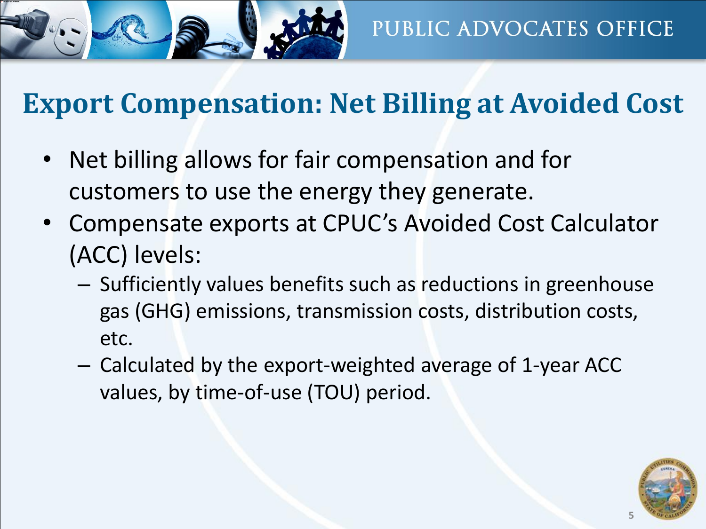

### **Export Compensation: Net Billing at Avoided Cost**

- Net billing allows for fair compensation and for customers to use the energy they generate.
- Compensate exports at CPUC's Avoided Cost Calculator (ACC) levels:
	- Sufficiently values benefits such as reductions in greenhouse gas (GHG) emissions, transmission costs, distribution costs, etc.
	- Calculated by the export-weighted average of 1-year ACC values, by time-of-use (TOU) period.

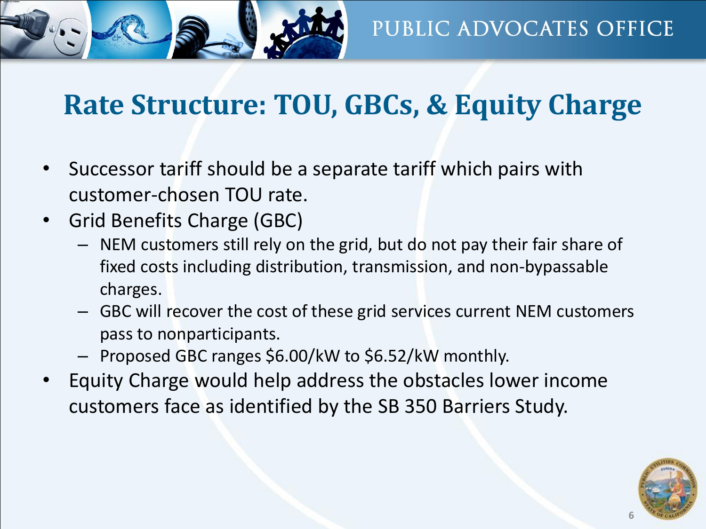

### **Rate Structure: TOU, GBCs, & Equity Charge**

- Successor tariff should be a separate tariff which pairs with customer-chosen TOU rate.
- Grid Benefits Charge (GBC)
	- NEM customers still rely on the grid, but do not pay their fair share of fixed costs including distribution, transmission, and non-bypassable charges.
	- GBC will recover the cost of these grid services current NEM customers pass to nonparticipants.
	- Proposed GBC ranges \$6.00/kW to \$6.52/kW monthly.
- Equity Charge would help address the obstacles lower income customers face as identified by the SB 350 Barriers Study.

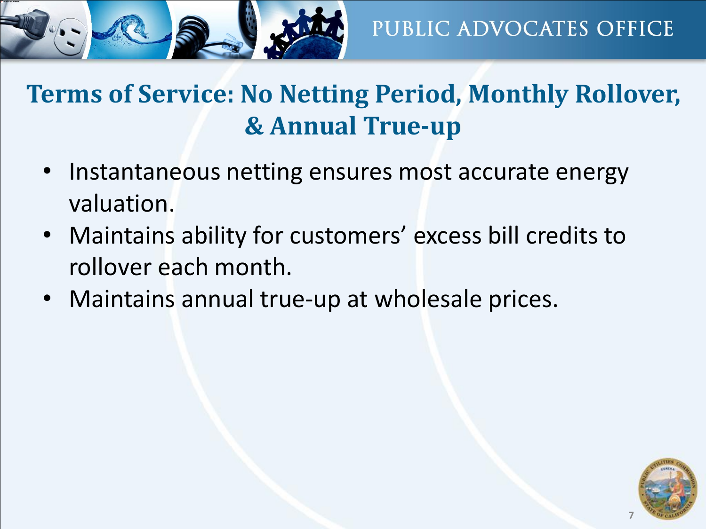#### **Terms of Service: No Netting Period, Monthly Rollover, & Annual True-up**

- Instantaneous netting ensures most accurate energy valuation.
- Maintains ability for customers' excess bill credits to rollover each month.
- Maintains annual true-up at wholesale prices.

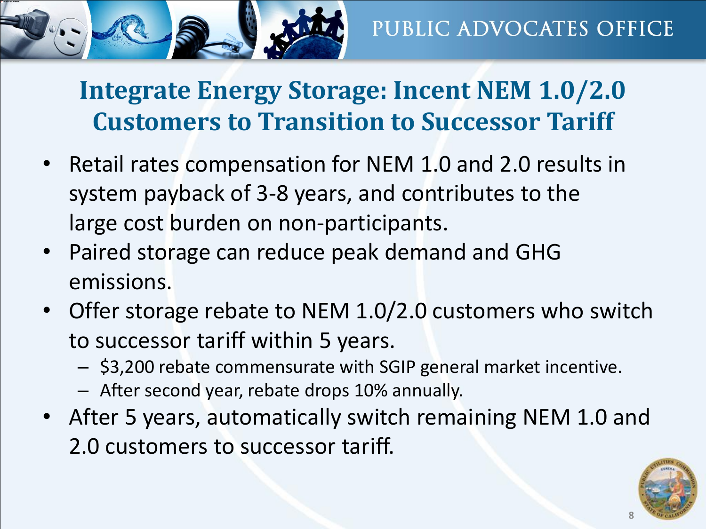

**Integrate Energy Storage: Incent NEM 1.0/2.0 Customers to Transition to Successor Tariff**

- Retail rates compensation for NEM 1.0 and 2.0 results in system payback of 3-8 years, and contributes to the large cost burden on non-participants.
- Paired storage can reduce peak demand and GHG emissions.
- Offer storage rebate to NEM 1.0/2.0 customers who switch to successor tariff within 5 years.
	- \$3,200 rebate commensurate with SGIP general market incentive.
	- After second year, rebate drops 10% annually.
- After 5 years, automatically switch remaining NEM 1.0 and 2.0 customers to successor tariff.

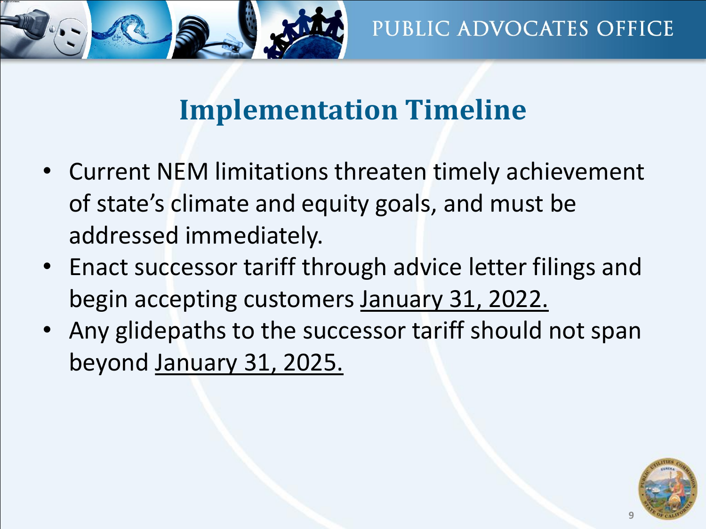

#### **Implementation Timeline**

- Current NEM limitations threaten timely achievement of state's climate and equity goals, and must be addressed immediately.
- Enact successor tariff through advice letter filings and begin accepting customers January 31, 2022.
- Any glidepaths to the successor tariff should not span beyond January 31, 2025.

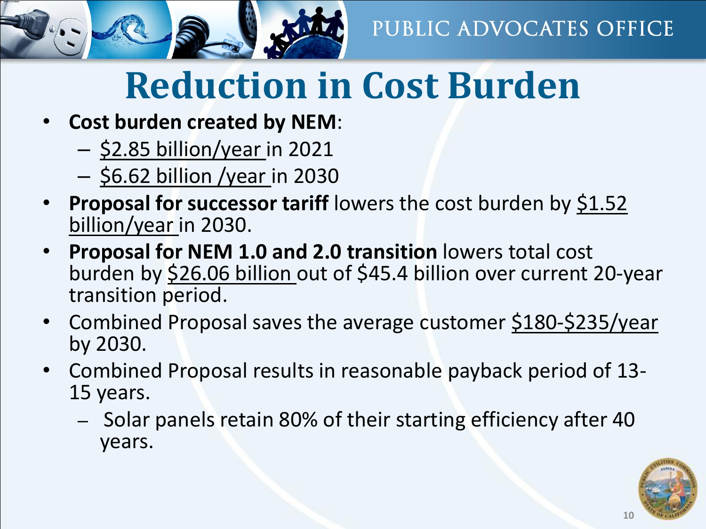

## **Reduction in Cost Burden**

- **Cost burden created by NEM**:
	- \$2.85 billion/year in 2021
	- \$6.62 billion /year in 2030
- **Proposal for successor tariff** lowers the cost burden by \$1.52 billion/year in 2030.
- **Proposal for NEM 1.0 and 2.0 transition** lowers total cost burden by \$26.06 billion out of \$45.4 billion over current 20-year transition period.
- Combined Proposal saves the average customer \$180-\$235/year by 2030.
- Combined Proposal results in reasonable payback period of 13- 15 years.
	- Solar panels retain 80% of their starting efficiency after 40 years.

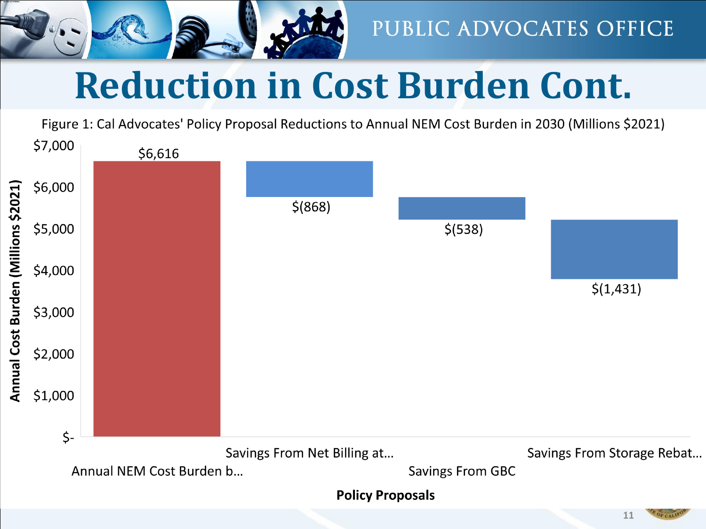

## **Reduction in Cost Burden Cont.**

Figure 1: Cal Advocates' Policy Proposal Reductions to Annual NEM Cost Burden in 2030 (Millions \$2021)

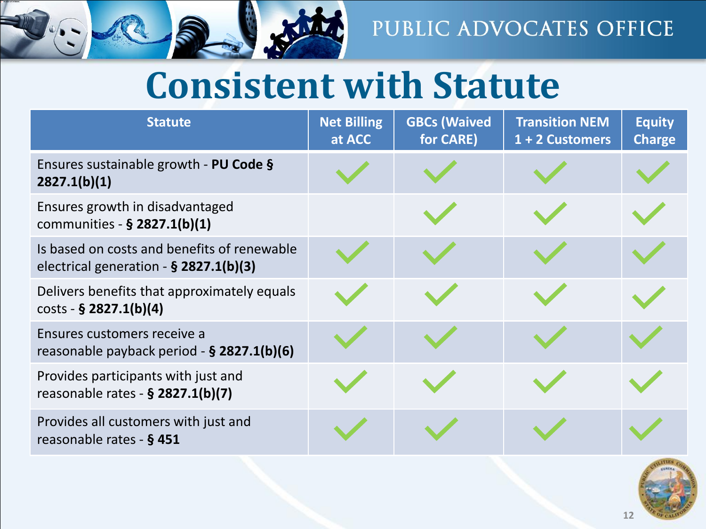

### **Consistent with Statute**

| <b>Statute</b>                                                                          | <b>Net Billing</b><br>at ACC | <b>GBCs (Waived</b><br>for CARE) | <b>Transition NEM</b><br>1 + 2 Customers | <b>Equity</b><br><b>Charge</b> |
|-----------------------------------------------------------------------------------------|------------------------------|----------------------------------|------------------------------------------|--------------------------------|
| Ensures sustainable growth - PU Code §<br>2827.1(b)(1)                                  |                              |                                  |                                          |                                |
| Ensures growth in disadvantaged<br>communities - § 2827.1(b)(1)                         |                              |                                  |                                          |                                |
| Is based on costs and benefits of renewable<br>electrical generation $-$ § 2827.1(b)(3) |                              |                                  |                                          |                                |
| Delivers benefits that approximately equals<br>$costs - § 2827.1(b)(4)$                 |                              |                                  |                                          |                                |
| Ensures customers receive a<br>reasonable payback period $-$ § 2827.1(b)(6)             |                              |                                  |                                          |                                |
| Provides participants with just and<br>reasonable rates - § 2827.1(b)(7)                |                              |                                  |                                          |                                |
| Provides all customers with just and<br>reasonable rates - § 451                        |                              |                                  |                                          |                                |

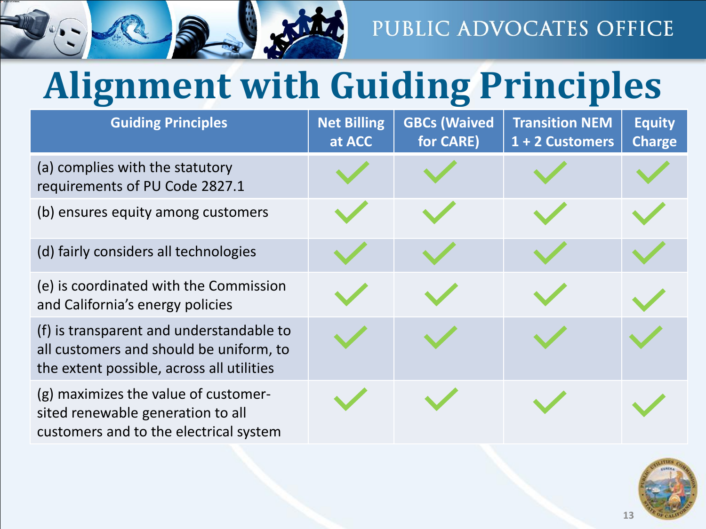

## **Alignment with Guiding Principles**

| <b>Guiding Principles</b>                                                                                                        | <b>Net Billing</b><br>at ACC | <b>GBCs (Waived</b><br>for CARE) | <b>Transition NEM</b><br>1 + 2 Customers | <b>Equity</b><br><b>Charge</b> |
|----------------------------------------------------------------------------------------------------------------------------------|------------------------------|----------------------------------|------------------------------------------|--------------------------------|
| (a) complies with the statutory<br>requirements of PU Code 2827.1                                                                |                              |                                  |                                          |                                |
| (b) ensures equity among customers                                                                                               |                              |                                  |                                          |                                |
| (d) fairly considers all technologies                                                                                            |                              |                                  |                                          |                                |
| (e) is coordinated with the Commission<br>and California's energy policies                                                       |                              |                                  |                                          |                                |
| (f) is transparent and understandable to<br>all customers and should be uniform, to<br>the extent possible, across all utilities |                              |                                  |                                          |                                |
| (g) maximizes the value of customer-<br>sited renewable generation to all<br>customers and to the electrical system              |                              |                                  |                                          |                                |